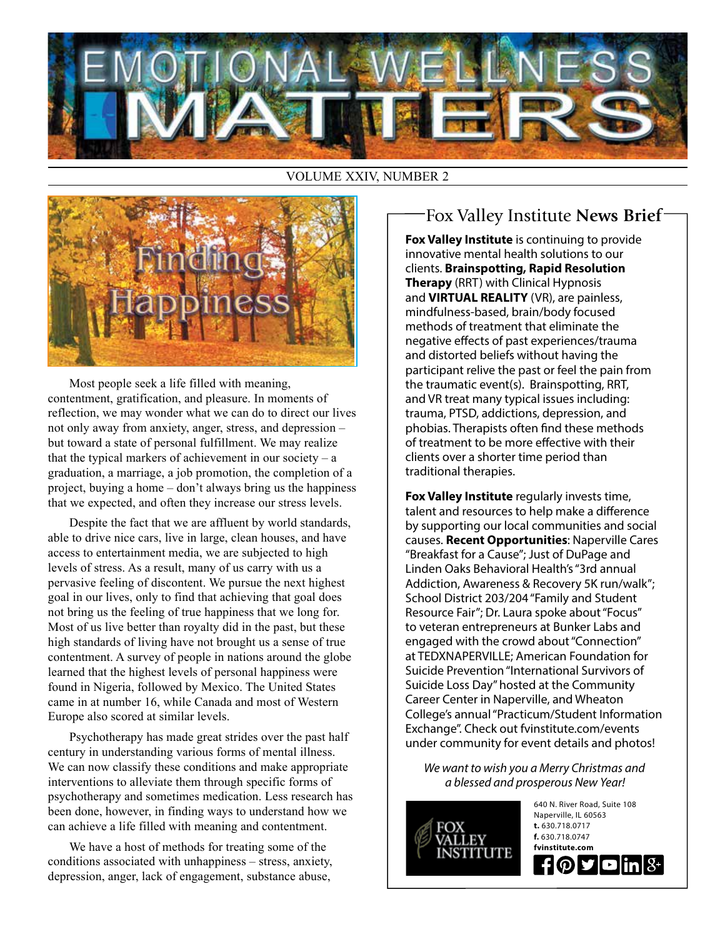

#### VOLUME XXIV, NUMBER 2



Most people seek a life filled with meaning, contentment, gratification, and pleasure. In moments of reflection, we may wonder what we can do to direct our lives not only away from anxiety, anger, stress, and depression – but toward a state of personal fulfillment. We may realize that the typical markers of achievement in our society  $- a$ graduation, a marriage, a job promotion, the completion of a project, buying a home – don't always bring us the happiness that we expected, and often they increase our stress levels.

Despite the fact that we are affluent by world standards, able to drive nice cars, live in large, clean houses, and have access to entertainment media, we are subjected to high levels of stress. As a result, many of us carry with us a pervasive feeling of discontent. We pursue the next highest goal in our lives, only to find that achieving that goal does not bring us the feeling of true happiness that we long for. Most of us live better than royalty did in the past, but these high standards of living have not brought us a sense of true contentment. A survey of people in nations around the globe learned that the highest levels of personal happiness were found in Nigeria, followed by Mexico. The United States came in at number 16, while Canada and most of Western Europe also scored at similar levels.

Psychotherapy has made great strides over the past half century in understanding various forms of mental illness. We can now classify these conditions and make appropriate interventions to alleviate them through specific forms of psychotherapy and sometimes medication. Less research has been done, however, in finding ways to understand how we can achieve a life filled with meaning and contentment.

We have a host of methods for treating some of the conditions associated with unhappiness – stress, anxiety, depression, anger, lack of engagement, substance abuse,

### Fox Valley Institute **News Brief**

**Fox Valley Institute** is continuing to provide innovative mental health solutions to our clients. **Brainspotting, Rapid Resolution Therapy** (RRT) with Clinical Hypnosis and **VIRTUAL REALITY** (VR), are painless, mindfulness-based, brain/body focused methods of treatment that eliminate the negative effects of past experiences/trauma and distorted beliefs without having the participant relive the past or feel the pain from the traumatic event(s). Brainspotting, RRT, and VR treat many typical issues including: trauma, PTSD, addictions, depression, and phobias. Therapists often find these methods of treatment to be more effective with their clients over a shorter time period than traditional therapies.

**Fox Valley Institute** regularly invests time, talent and resources to help make a difference by supporting our local communities and social causes. **Recent Opportunities**: Naperville Cares "Breakfast for a Cause"; Just of DuPage and Linden Oaks Behavioral Health's "3rd annual Addiction, Awareness & Recovery 5K run/walk"; School District 203/204 "Family and Student Resource Fair"; Dr. Laura spoke about "Focus" to veteran entrepreneurs at Bunker Labs and engaged with the crowd about "Connection" at TEDXNAPERVILLE; American Foundation for Suicide Prevention "International Survivors of Suicide Loss Day" hosted at the Community Career Center in Naperville, and Wheaton College's annual "Practicum/Student Information Exchange". Check out fvinstitute.com/events under community for event details and photos!

*We want to wish you a Merry Christmas and a blessed and prosperous New Year!* 

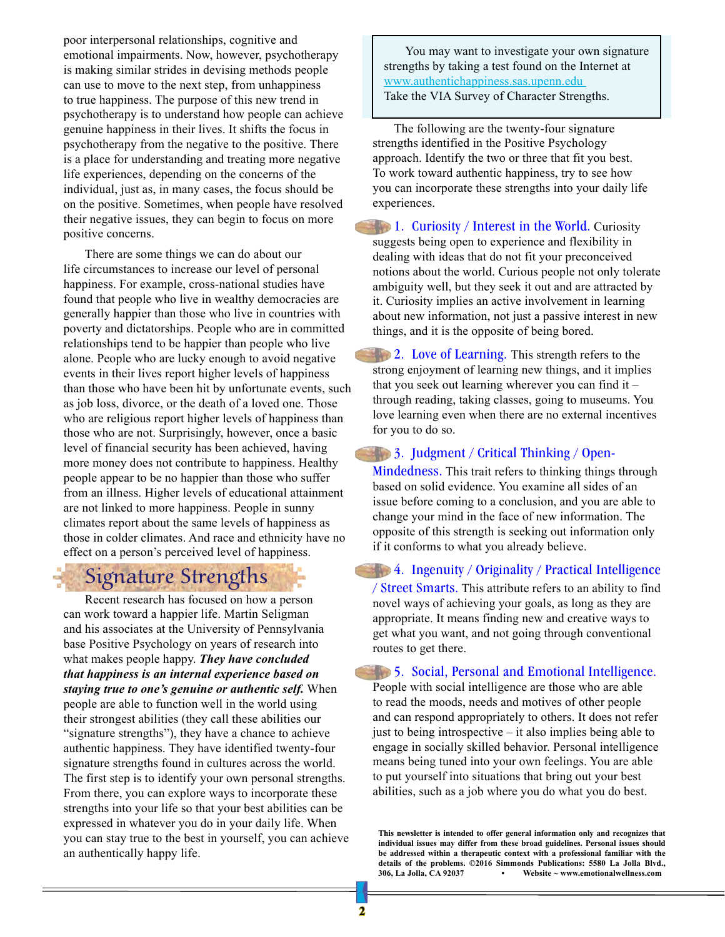poor interpersonal relationships, cognitive and emotional impairments. Now, however, psychotherapy is making similar strides in devising methods people can use to move to the next step, from unhappiness to true happiness. The purpose of this new trend in psychotherapy is to understand how people can achieve genuine happiness in their lives. It shifts the focus in psychotherapy from the negative to the positive. There is a place for understanding and treating more negative life experiences, depending on the concerns of the individual, just as, in many cases, the focus should be on the positive. Sometimes, when people have resolved their negative issues, they can begin to focus on more positive concerns.

There are some things we can do about our life circumstances to increase our level of personal happiness. For example, cross-national studies have found that people who live in wealthy democracies are generally happier than those who live in countries with poverty and dictatorships. People who are in committed relationships tend to be happier than people who live alone. People who are lucky enough to avoid negative events in their lives report higher levels of happiness than those who have been hit by unfortunate events, such as job loss, divorce, or the death of a loved one. Those who are religious report higher levels of happiness than those who are not. Surprisingly, however, once a basic level of financial security has been achieved, having more money does not contribute to happiness. Healthy people appear to be no happier than those who suffer from an illness. Higher levels of educational attainment are not linked to more happiness. People in sunny climates report about the same levels of happiness as those in colder climates. And race and ethnicity have no effect on a person's perceived level of happiness.

## Signature Strengths

Recent research has focused on how a person can work toward a happier life. Martin Seligman and his associates at the University of Pennsylvania base Positive Psychology on years of research into what makes people happy. *They have concluded that happiness is an internal experience based on staying true to one's genuine or authentic self.* When people are able to function well in the world using their strongest abilities (they call these abilities our "signature strengths"), they have a chance to achieve authentic happiness. They have identified twenty-four signature strengths found in cultures across the world. The first step is to identify your own personal strengths. From there, you can explore ways to incorporate these strengths into your life so that your best abilities can be expressed in whatever you do in your daily life. When you can stay true to the best in yourself, you can achieve an authentically happy life.

You may want to investigate your own signature strengths by taking a test found on the Internet at www.authentichappiness.sas.upenn.edu Take the VIA Survey of Character Strengths.

The following are the twenty-four signature strengths identified in the Positive Psychology approach. Identify the two or three that fit you best. To work toward authentic happiness, try to see how you can incorporate these strengths into your daily life experiences.

1. Curiosity / Interest in the World. Curiosity suggests being open to experience and flexibility in dealing with ideas that do not fit your preconceived notions about the world. Curious people not only tolerate ambiguity well, but they seek it out and are attracted by it. Curiosity implies an active involvement in learning about new information, not just a passive interest in new things, and it is the opposite of being bored.

2. Love of Learning. This strength refers to the strong enjoyment of learning new things, and it implies that you seek out learning wherever you can find it – through reading, taking classes, going to museums. You love learning even when there are no external incentives for you to do so.

3. Judgment / Critical Thinking / Open-

Mindedness. This trait refers to thinking things through based on solid evidence. You examine all sides of an issue before coming to a conclusion, and you are able to change your mind in the face of new information. The opposite of this strength is seeking out information only if it conforms to what you already believe.

4. Ingenuity / Originality / Practical Intelligence

/ Street Smarts. This attribute refers to an ability to find novel ways of achieving your goals, as long as they are appropriate. It means finding new and creative ways to get what you want, and not going through conventional routes to get there.

**1. Social, Personal and Emotional Intelligence.** People with social intelligence are those who are able to read the moods, needs and motives of other people and can respond appropriately to others. It does not refer just to being introspective – it also implies being able to engage in socially skilled behavior. Personal intelligence means being tuned into your own feelings. You are able to put yourself into situations that bring out your best abilities, such as a job where you do what you do best.

**This newsletter is intended to offer general information only and recognizes that individual issues may differ from these broad guidelines. Personal issues should be addressed within a therapeutic context with a professional familiar with the details of the problems. ©2016 Simmonds Publications: 5580 La Jolla Blvd., 306, La Jolla, CA 92037 • Website ~ www.emotionalwellness.com**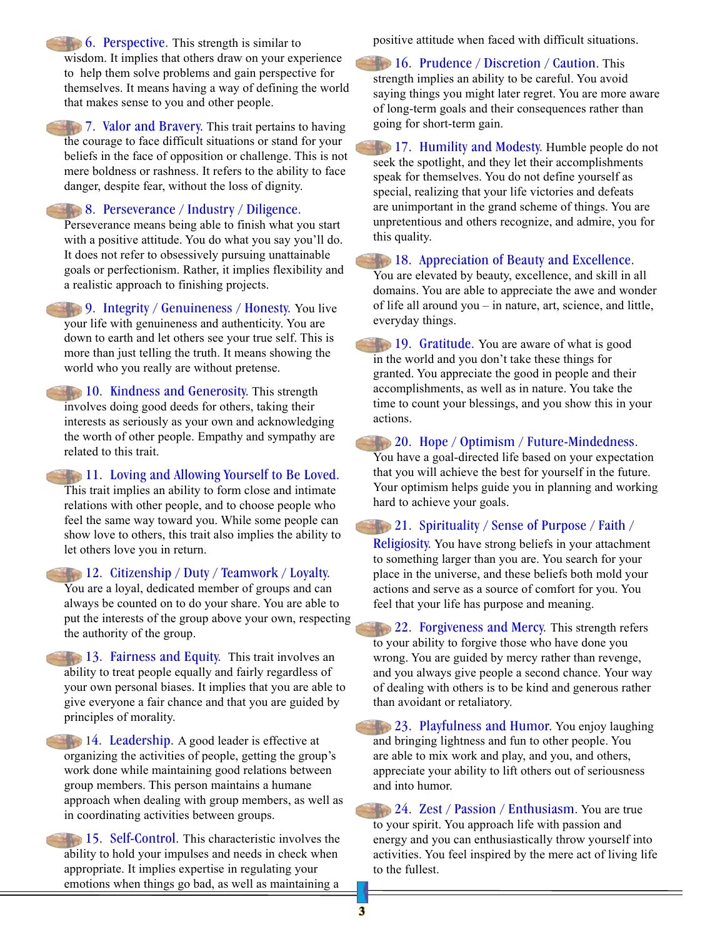**6. Perspective.** This strength is similar to wisdom. It implies that others draw on your experience to help them solve problems and gain perspective for themselves. It means having a way of defining the world that makes sense to you and other people.

**7. Valor and Bravery.** This trait pertains to having the courage to face difficult situations or stand for your beliefs in the face of opposition or challenge. This is not mere boldness or rashness. It refers to the ability to face danger, despite fear, without the loss of dignity.

#### 8. Perseverance / Industry / Diligence.

Perseverance means being able to finish what you start with a positive attitude. You do what you say you'll do. It does not refer to obsessively pursuing unattainable goals or perfectionism. Rather, it implies flexibility and a realistic approach to finishing projects.

9. Integrity / Genuineness / Honesty. You live your life with genuineness and authenticity. You are down to earth and let others see your true self. This is more than just telling the truth. It means showing the world who you really are without pretense.

10. Kindness and Generosity. This strength involves doing good deeds for others, taking their interests as seriously as your own and acknowledging the worth of other people. Empathy and sympathy are related to this trait.

11. Loving and Allowing Yourself to Be Loved. This trait implies an ability to form close and intimate relations with other people, and to choose people who feel the same way toward you. While some people can show love to others, this trait also implies the ability to let others love you in return.

12. Citizenship / Duty / Teamwork / Loyalty. You are a loyal, dedicated member of groups and can always be counted on to do your share. You are able to put the interests of the group above your own, respecting the authority of the group.

13. Fairness and Equity. This trait involves an ability to treat people equally and fairly regardless of your own personal biases. It implies that you are able to give everyone a fair chance and that you are guided by principles of morality.

14. Leadership. A good leader is effective at organizing the activities of people, getting the group's work done while maintaining good relations between group members. This person maintains a humane approach when dealing with group members, as well as in coordinating activities between groups.

15. Self-Control. This characteristic involves the ability to hold your impulses and needs in check when appropriate. It implies expertise in regulating your emotions when things go bad, as well as maintaining a

positive attitude when faced with difficult situations.

16. Prudence / Discretion / Caution. This strength implies an ability to be careful. You avoid saying things you might later regret. You are more aware of long-term goals and their consequences rather than going for short-term gain.

17. Humility and Modesty. Humble people do not seek the spotlight, and they let their accomplishments speak for themselves. You do not define yourself as special, realizing that your life victories and defeats are unimportant in the grand scheme of things. You are unpretentious and others recognize, and admire, you for this quality.

#### 18. Appreciation of Beauty and Excellence.

You are elevated by beauty, excellence, and skill in all domains. You are able to appreciate the awe and wonder of life all around you – in nature, art, science, and little, everyday things.

19. Gratitude. You are aware of what is good in the world and you don't take these things for granted. You appreciate the good in people and their accomplishments, as well as in nature. You take the time to count your blessings, and you show this in your actions.

#### **20.** Hope / Optimism / Future-Mindedness.

You have a goal-directed life based on your expectation that you will achieve the best for yourself in the future. Your optimism helps guide you in planning and working hard to achieve your goals.

#### **21.** Spirituality / Sense of Purpose / Faith /

Religiosity. You have strong beliefs in your attachment to something larger than you are. You search for your place in the universe, and these beliefs both mold your actions and serve as a source of comfort for you. You feel that your life has purpose and meaning.

 $22.$  Forgiveness and Mercy. This strength refers to your ability to forgive those who have done you wrong. You are guided by mercy rather than revenge, and you always give people a second chance. Your way of dealing with others is to be kind and generous rather than avoidant or retaliatory.

**23. Playfulness and Humor.** You enjoy laughing and bringing lightness and fun to other people. You are able to mix work and play, and you, and others, appreciate your ability to lift others out of seriousness and into humor.

 $24.$  Zest / Passion / Enthusiasm. You are true to your spirit. You approach life with passion and energy and you can enthusiastically throw yourself into activities. You feel inspired by the mere act of living life to the fullest.